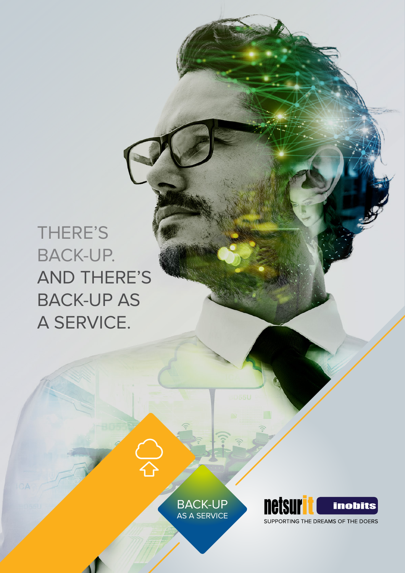# THERE'S BACK-UP. AND THERE'S BACK-UP AS A SERVICE.

BACK-UP AS A SERVICE

 $\frac{1}{4}$ 



SUPPORTING THE DREAMS OF THE DOERS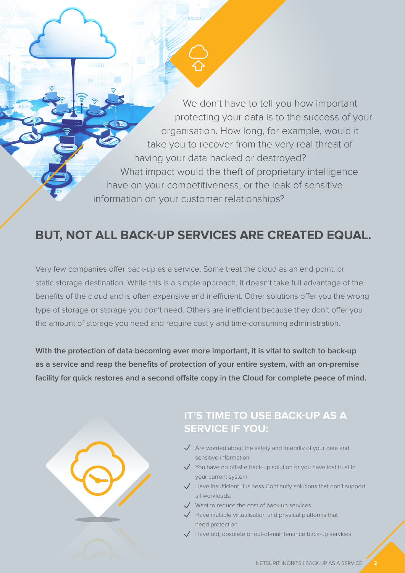We don't have to tell you how important protecting your data is to the success of your organisation. How long, for example, would it take you to recover from the very real threat of having your data hacked or destroyed? What impact would the theft of proprietary intelligence have on your competitiveness, or the leak of sensitive information on your customer relationships?

# **BUT, NOT ALL BACK-UP SERVICES ARE CREATED EQUAL.**

Very few companies offer back-up as a service. Some treat the cloud as an end point, or static storage destination. While this is a simple approach, it doesn't take full advantage of the benefits of the cloud and is often expensive and inefficient. Other solutions offer you the wrong type of storage or storage you don't need. Others are inefficient because they don't offer you the amount of storage you need and require costly and time-consuming administration.

**With the protection of data becoming ever more important, it is vital to switch to back-up as a service and reap the benefits of protection of your entire system, with an on-premise facility for quick restores and a second offsite copy in the Cloud for complete peace of mind.**

## **IT'S TIME TO USE BACK-UP AS A SERVICE IF YOU:**

- $\sqrt{\phantom{a}}$  Are worried about the safety and integrity of your data and sensitive information
- $\sqrt{ }$  You have no off-site back-up solution or you have lost trust in your current system
- $\overline{\phantom{a}}$  Have insufficient Business Continuity solutions that don't support all workloads.
- $\sqrt{\phantom{a}}$  Want to reduce the cost of back-up services
- $\sqrt{\phantom{a}}$  Have multiple virtualisation and physical platforms that need protection
- $\sqrt{\phantom{a}}$  Have old, obsolete or out-of-maintenance back-up services